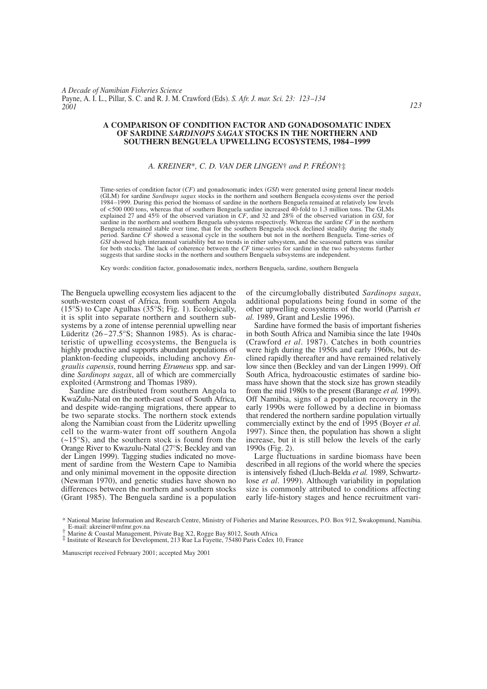*A Decade of Namibian Fisheries Science* Payne, A. I. L., Pillar, S. C. and R. J. M. Crawford (Eds). *S. Afr. J. mar. Sci. 23: 123–134 2001*

### **A COMPARISON OF CONDITION FACTOR AND GONADOSOMATIC INDEX OF SARDINE** *SARDINOPS SAGAX* **STOCKS IN THE NORTHERN AND SOUTHERN BENGUELA UPWELLING ECOSYSTEMS, 1984–1999**

# *A. KREINER*\**, C. D. VAN DER LINGEN*† *and P. FRÉON*†‡

Time-series of condition factor (*CF*) and gonadosomatic index (*GSI*) were generated using general linear models (GLM) for sardine *Sardinops sagax* stocks in the northern and southern Benguela ecosystems over the period 1984–1999. During this period the biomass of sardine in the northern Benguela remained at relatively low levels of <500 000 tons, whereas that of southern Benguela sardine increased 40-fold to 1.3 million tons. The GLMs explained 27 and 45% of the observed variation in *CF*, and 32 and 28% of the observed variation in *GSI*, for sardine in the northern and southern Benguela subsystems respectively. Whereas the sardine *CF* in the northern Benguela remained stable over time, that for the southern Benguela stock declined steadily during the study period. Sardine *CF* showed a seasonal cycle in the southern but not in the northern Benguela. Time-series of  $\overline{GSI}$  showed high interannual variability but no trends in either subsystem, and the seasonal pattern was similar for both stocks. The lack of coherence between the  $CF$  time-series for sardine in the two subsystems fu suggests that sardine stocks in the northern and southern Benguela subsystems are independent.

Key words: condition factor, gonadosomatic index, northern Benguela, sardine, southern Benguela

The Benguela upwelling ecosystem lies adjacent to the south-western coast of Africa, from southern Angola (15°S) to Cape Agulhas (35°S; Fig. 1). Ecologically, it is split into separate northern and southern subsystems by a zone of intense perennial upwelling near Lüderitz (26–27.5°S; Shannon 1985). As is characteristic of upwelling ecosystems, the Benguela is highly productive and supports abundant populations of plankton-feeding clupeoids, including anchovy *Engraulis capensis*, round herring *Etrumeus* spp. and sardine *Sardinops sagax*, all of which are commercially exploited (Armstrong and Thomas 1989).

Sardine are distributed from southern Angola to KwaZulu-Natal on the north-east coast of South Africa, and despite wide-ranging migrations, there appear to be two separate stocks. The northern stock extends along the Namibian coast from the Lüderitz upwelling cell to the warm-water front off southern Angola (~15°S), and the southern stock is found from the Orange River to Kwazulu-Natal (27°S; Beckley and van der Lingen 1999). Tagging studies indicated no movement of sardine from the Western Cape to Namibia and only minimal movement in the opposite direction (Newman 1970), and genetic studies have shown no differences between the northern and southern stocks (Grant 1985). The Benguela sardine is a population of the circumglobally distributed *Sardinops sagax*, additional populations being found in some of the other upwelling ecosystems of the world (Parrish *et al.* 1989, Grant and Leslie 1996).

Sardine have formed the basis of important fisheries in both South Africa and Namibia since the late 1940s (Crawford *et al*. 1987). Catches in both countries were high during the 1950s and early 1960s, but declined rapidly thereafter and have remained relatively low since then (Beckley and van der Lingen 1999). Off South Africa, hydroacoustic estimates of sardine biomass have shown that the stock size has grown steadily from the mid 1980s to the present (Barange *et al.* 1999). Off Namibia, signs of a population recovery in the early 1990s were followed by a decline in biomass that rendered the northern sardine population virtually commercially extinct by the end of 1995 (Boyer *et al.* 1997). Since then, the population has shown a slight increase, but it is still below the levels of the early 1990s (Fig. 2).

Large fluctuations in sardine biomass have been described in all regions of the world where the species is intensively fished (Lluch-Belda *et al.* 1989, Schwartzlose *et al*. 1999). Although variability in population size is commonly attributed to conditions affecting early life-history stages and hence recruitment vari-

<sup>\*</sup> National Marine Information and Research Centre, Ministry of Fisheries and Marine Resources, P.O. Box 912, Swakopmund, Namibia.<br>
E-mail: akreiner@mfmr.gov.na<br>
† Marine & Coastal Management, Private Bag X2, Rogge Bay 8012

Manuscript received February 2001; accepted May 2001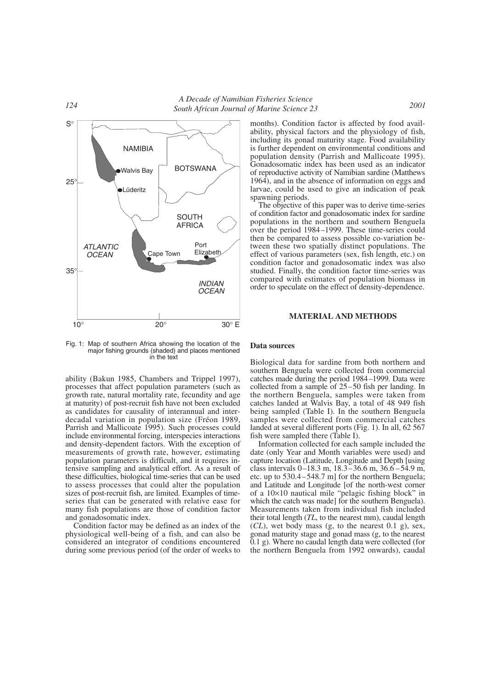



Fig. 1: Map of southern Africa showing the location of the major fishing grounds (shaded) and places mentioned in the text

ability (Bakun 1985, Chambers and Trippel 1997), processes that affect population parameters (such as growth rate, natural mortality rate, fecundity and age at maturity) of post-recruit fish have not been excluded as candidates for causality of interannual and interdecadal variation in population size (Fréon 1989, Parrish and Mallicoate 1995). Such processes could include environmental forcing, interspecies interactions and density-dependent factors. With the exception of measurements of growth rate, however, estimating population parameters is difficult, and it requires intensive sampling and analytical effort. As a result of these difficulties, biological time-series that can be used to assess processes that could alter the population sizes of post-recruit fish, are limited. Examples of timeseries that can be generated with relative ease for many fish populations are those of condition factor and gonadosomatic index.

Condition factor may be defined as an index of the physiological well-being of a fish, and can also be considered an integrator of conditions encountered during some previous period (of the order of weeks to

months). Condition factor is affected by food availability, physical factors and the physiology of fish, including its gonad maturity stage. Food availability is further dependent on environmental conditions and population density (Parrish and Mallicoate 1995). Gonadosomatic index has been used as an indicator of reproductive activity of Namibian sardine (Matthews 1964), and in the absence of information on eggs and larvae, could be used to give an indication of peak spawning periods.

The objective of this paper was to derive time-series of condition factor and gonadosomatic index for sardine populations in the northern and southern Benguela over the period 1984–1999. These time-series could then be compared to assess possible co-variation between these two spatially distinct populations. The effect of various parameters (sex, fish length, etc.) on condition factor and gonadosomatic index was also studied. Finally, the condition factor time-series was compared with estimates of population biomass in order to speculate on the effect of density-dependence.

### **MATERIAL AND METHODS**

#### **Data sources**

Biological data for sardine from both northern and southern Benguela were collected from commercial catches made during the period 1984–1999. Data were collected from a sample of 25–50 fish per landing. In the northern Benguela, samples were taken from catches landed at Walvis Bay, a total of 48 949 fish being sampled (Table I). In the southern Benguela samples were collected from commercial catches landed at several different ports (Fig. 1). In all, 62 567 fish were sampled there (Table I).

Information collected for each sample included the date (only Year and Month variables were used) and capture location (Latitude, Longitude and Depth [using class intervals 0–18.3 m, 18.3–36.6 m, 36.6 –54.9 m, etc. up to 530.4–548.7 m] for the northern Benguela; and Latitude and Longitude [of the north-west corner of a 10×10 nautical mile "pelagic fishing block" in which the catch was made] for the southern Benguela). Measurements taken from individual fish included their total length (*TL*, to the nearest mm), caudal length  $(CL)$ , wet body mass  $(g, to the nearest 0.1 g)$ , sex, gonad maturity stage and gonad mass (g, to the nearest 0.1 g). Where no caudal length data were collected (for the northern Benguela from 1992 onwards), caudal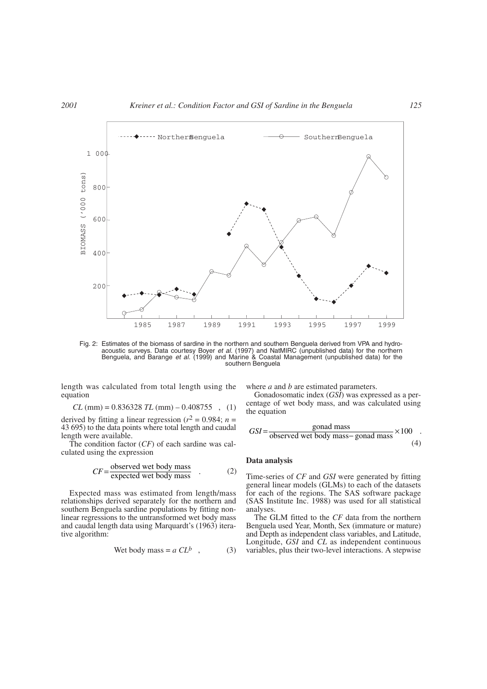

Fig. 2: Estimates of the biomass of sardine in the northern and southern Benguela derived from VPA and hydroacoustic surveys. Data courtesy Boyer *et al.* (1997) and NatMIRC (unpublished data) for the northern<br>Benguela, and Barange *et al.* (1999) and Marine & Coastal Management (unpublished data) for the<br>southern Benguela

length was calculated from total length using the equation

$$
CL \text{ (mm)} = 0.836328 \text{ } TL \text{ (mm)} - 0.408755 \text{ }, (1)
$$

derived by fitting a linear regression ( $r^2 = 0.984$ ; *n* = 43 695) to the data points where total length and caudal length were available.

The condition factor (*CF*) of each sardine was calculated using the expression

$$
CF = \frac{\text{observed wet body mass}}{\text{expected wet body mass}} \quad . \tag{2}
$$

Expected mass was estimated from length/mass relationships derived separately for the northern and southern Benguela sardine populations by fitting nonlinear regressions to the untransformed wet body mass and caudal length data using Marquardt's (1963) iterative algorithm:

$$
Wet body mass = a CLb, (3)
$$

where *a* and *b* are estimated parameters.

Gonadosomatic index (*GSI*) was expressed as a percentage of wet body mass, and was calculated using the equation

$$
GSI = \frac{\text{gonad mass}}{\text{observed wet body mass} - \text{gonad mass}} \times 100 \quad .
$$
\n(4)

# **Data analysis**

Time-series of *CF* and *GSI* were generated by fitting general linear models (GLMs) to each of the datasets for each of the regions. The SAS software package (SAS Institute Inc. 1988) was used for all statistical analyses.

The GLM fitted to the *CF* data from the northern Benguela used Year, Month, Sex (immature or mature) and Depth as independent class variables, and Latitude, Longitude, *GSI* and *CL* as independent continuous variables, plus their two-level interactions. A stepwise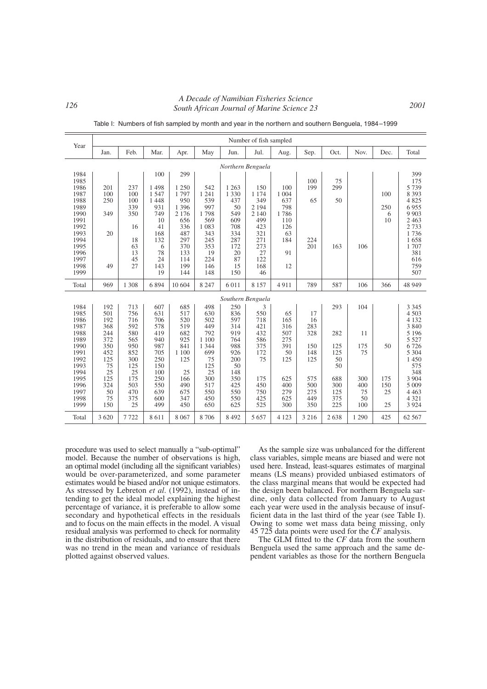*<sup>126</sup> A Decade of Namibian Fisheries Science South African Journal of Marine Science 23 2001*

| Year                                                                                                                         | Number of fish sampled                                                                                   |                                                                                                            |                                                                                                              |                                                                                                                    |                                                                                                                  |                                                                                                                                  |                                                                                                          |                                                                                       |                                                                                |                                                                         |                                                         |                              |                                                                                                                                                                |
|------------------------------------------------------------------------------------------------------------------------------|----------------------------------------------------------------------------------------------------------|------------------------------------------------------------------------------------------------------------|--------------------------------------------------------------------------------------------------------------|--------------------------------------------------------------------------------------------------------------------|------------------------------------------------------------------------------------------------------------------|----------------------------------------------------------------------------------------------------------------------------------|----------------------------------------------------------------------------------------------------------|---------------------------------------------------------------------------------------|--------------------------------------------------------------------------------|-------------------------------------------------------------------------|---------------------------------------------------------|------------------------------|----------------------------------------------------------------------------------------------------------------------------------------------------------------|
|                                                                                                                              | Jan.                                                                                                     | Feb.                                                                                                       | Mar.                                                                                                         | Apr.                                                                                                               | May                                                                                                              | Jun.                                                                                                                             | Jul.                                                                                                     | Aug.                                                                                  | Sep.                                                                           | Oct.                                                                    | Nov.                                                    | Dec.                         | Total                                                                                                                                                          |
| Northern Benguela                                                                                                            |                                                                                                          |                                                                                                            |                                                                                                              |                                                                                                                    |                                                                                                                  |                                                                                                                                  |                                                                                                          |                                                                                       |                                                                                |                                                                         |                                                         |                              |                                                                                                                                                                |
| 1984<br>1985<br>1986<br>1987<br>1988<br>1989<br>1990<br>1991<br>1992<br>1993<br>1994<br>1995<br>1996<br>1997<br>1998<br>1999 | 201<br>100<br>250<br>349<br>20<br>49                                                                     | 237<br>100<br>100<br>339<br>350<br>16<br>18<br>63<br>13<br>45<br>27                                        | 100<br>1498<br>1547<br>1 4 4 8<br>931<br>749<br>10<br>41<br>168<br>132<br>6<br>78<br>24<br>143<br>19         | 299<br>1 2 5 0<br>1797<br>950<br>1 3 9 6<br>2 1 7 6<br>656<br>336<br>487<br>297<br>370<br>133<br>114<br>199<br>144 | 542<br>1 2 4 1<br>539<br>997<br>1798<br>569<br>1 0 8 3<br>343<br>245<br>353<br>19<br>224<br>146<br>148           | 1 2 6 3<br>1 3 3 0<br>437<br>50<br>549<br>609<br>708<br>334<br>287<br>172<br>20<br>87<br>15<br>150                               | 150<br>1 1 7 4<br>349<br>2 1 9 4<br>2 1 4 0<br>499<br>423<br>321<br>271<br>273<br>27<br>122<br>168<br>46 | 100<br>1 0 0 4<br>637<br>798<br>1786<br>110<br>126<br>63<br>184<br>91<br>12           | 100<br>199<br>65<br>224<br>201                                                 | 75<br>299<br>50<br>163                                                  | 106                                                     | 100<br>250<br>6<br>10        | 399<br>175<br>5739<br>8 3 9 3<br>4825<br>6955<br>9 9 0 3<br>2463<br>2733<br>1736<br>1658<br>1707<br>381<br>616<br>759<br>507                                   |
| Total                                                                                                                        | 969                                                                                                      | 1 3 0 8                                                                                                    | 6894                                                                                                         | 10 604                                                                                                             | 8 2 4 7                                                                                                          | 6 0 1 1                                                                                                                          | 8 1 5 7                                                                                                  | 4911                                                                                  | 789                                                                            | 587                                                                     | 106                                                     | 366                          | 48 949                                                                                                                                                         |
| 1984<br>1985<br>1986<br>1987<br>1988<br>1989<br>1990<br>1991<br>1992<br>1993<br>1994<br>1995<br>1996<br>1997<br>1998<br>1999 | 192<br>501<br>192<br>368<br>244<br>372<br>350<br>452<br>125<br>75<br>25<br>125<br>324<br>50<br>75<br>150 | 713<br>756<br>716<br>592<br>580<br>565<br>950<br>852<br>300<br>125<br>25<br>175<br>503<br>470<br>375<br>25 | 607<br>631<br>706<br>578<br>419<br>940<br>987<br>705<br>250<br>150<br>100<br>250<br>550<br>639<br>600<br>499 | 685<br>517<br>520<br>519<br>682<br>925<br>841<br>1 100<br>125<br>25<br>166<br>490<br>675<br>347<br>450             | 498<br>630<br>502<br>449<br>792<br>1 100<br>1 3 4 4<br>699<br>75<br>125<br>25<br>300<br>517<br>550<br>450<br>650 | Southern Benguela<br>250<br>836<br>597<br>314<br>919<br>764<br>988<br>926<br>200<br>50<br>148<br>350<br>425<br>550<br>550<br>625 | 3<br>550<br>718<br>421<br>432<br>586<br>375<br>172<br>75<br>175<br>450<br>750<br>425<br>525              | 65<br>165<br>316<br>507<br>275<br>391<br>50<br>125<br>625<br>400<br>279<br>625<br>300 | 17<br>16<br>283<br>328<br>150<br>148<br>125<br>575<br>500<br>275<br>449<br>350 | 293<br>282<br>125<br>125<br>50<br>50<br>688<br>300<br>125<br>375<br>225 | 104<br>11<br>175<br>75<br>300<br>400<br>75<br>50<br>100 | 50<br>175<br>150<br>25<br>25 | 3 3 4 5<br>4 5 0 3<br>4 1 3 2<br>3 8 4 0<br>5 1 9 6<br>5 5 2 7<br>6726<br>5 3 0 4<br>1450<br>575<br>348<br>3 9 0 4<br>5 0 0 9<br>4 4 6 3<br>4 3 2 1<br>3 9 2 4 |
| Total                                                                                                                        | 3 6 20                                                                                                   | 7722                                                                                                       | 8611                                                                                                         | 8 0 6 7                                                                                                            | 8706                                                                                                             | 8 4 9 2                                                                                                                          | 5 6 5 7                                                                                                  | 4 1 2 3                                                                               | 3 2 1 6                                                                        | 2638                                                                    | 1 2 9 0                                                 | 425                          | 62 5 67                                                                                                                                                        |

Table I: Numbers of fish sampled by month and year in the northern and southern Benguela, 1984–1999

procedure was used to select manually a "sub-optimal" model. Because the number of observations is high, an optimal model (including all the significant variables) would be over-parameterized, and some parameter estimates would be biased and/or not unique estimators. As stressed by Lebreton *et al*. (1992), instead of intending to get the ideal model explaining the highest percentage of variance, it is preferable to allow some secondary and hypothetical effects in the residuals and to focus on the main effects in the model. A visual residual analysis was performed to check for normality in the distribution of residuals, and to ensure that there was no trend in the mean and variance of residuals plotted against observed values.

As the sample size was unbalanced for the different class variables, simple means are biased and were not used here. Instead, least-squares estimates of marginal means (LS means) provided unbiased estimators of the class marginal means that would be expected had the design been balanced. For northern Benguela sardine, only data collected from January to August each year were used in the analysis because of insufficient data in the last third of the year (see Table I). Owing to some wet mass data being missing, only 45 725 data points were used for the *CF* analysis.

The GLM fitted to the *CF* data from the southern Benguela used the same approach and the same dependent variables as those for the northern Benguela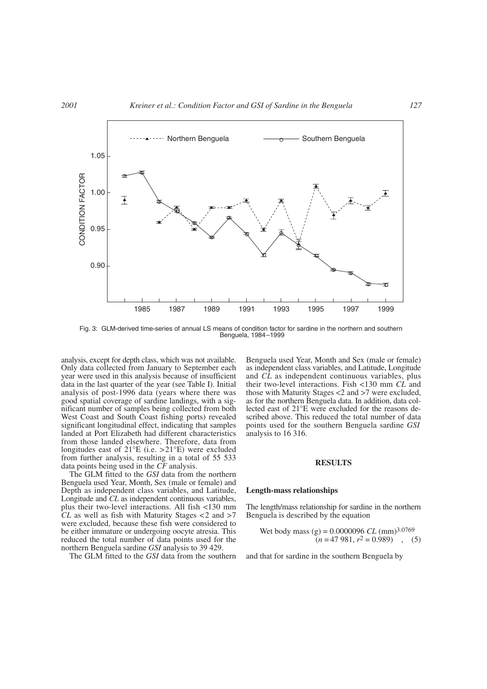

Fig. 3: GLM-derived time-series of annual LS means of condition factor for sardine in the northern and southern Benguela, 1984–1999

analysis, except for depth class, which was not available. Only data collected from January to September each year were used in this analysis because of insufficient data in the last quarter of the year (see Table I). Initial analysis of post-1996 data (years where there was good spatial coverage of sardine landings, with a significant number of samples being collected from both West Coast and South Coast fishing ports) revealed significant longitudinal effect, indicating that samples landed at Port Elizabeth had different characteristics from those landed elsewhere. Therefore, data from longitudes east of  $21^{\circ}E$  (i.e.  $>21^{\circ}E$ ) were excluded from further analysis, resulting in a total of 55 533 data points being used in the *CF* analysis.

The GLM fitted to the *GSI* data from the northern Benguela used Year, Month, Sex (male or female) and Depth as independent class variables, and Latitude, Longitude and *CL* as independent continuous variables, plus their two-level interactions. All fish <130 mm  $CL$  as well as fish with Maturity Stages  $\lt 2$  and  $\gt 7$ were excluded, because these fish were considered to be either immature or undergoing oocyte atresia. This reduced the total number of data points used for the northern Benguela sardine *GSI* analysis to 39 429.

The GLM fitted to the *GSI* data from the southern

Benguela used Year, Month and Sex (male or female) as independent class variables, and Latitude, Longitude and *CL* as independent continuous variables, plus their two-level interactions. Fish <130 mm *CL* and those with Maturity Stages <2 and >7 were excluded, as for the northern Benguela data. In addition, data collected east of 21°E were excluded for the reasons described above. This reduced the total number of data points used for the southern Benguela sardine *GSI* analysis to 16 316.

# **RESULTS**

### **Length-mass relationships**

The length/mass relationship for sardine in the northern Benguela is described by the equation

\n
$$
\text{Wet body mass} \quad (g) = 0.0000096 \, CL \, (\text{mm})^{3.0769}
$$
\n

\n\n $(n = 47981, r^2 = 0.989)$ \n

\n\n (5)\n

and that for sardine in the southern Benguela by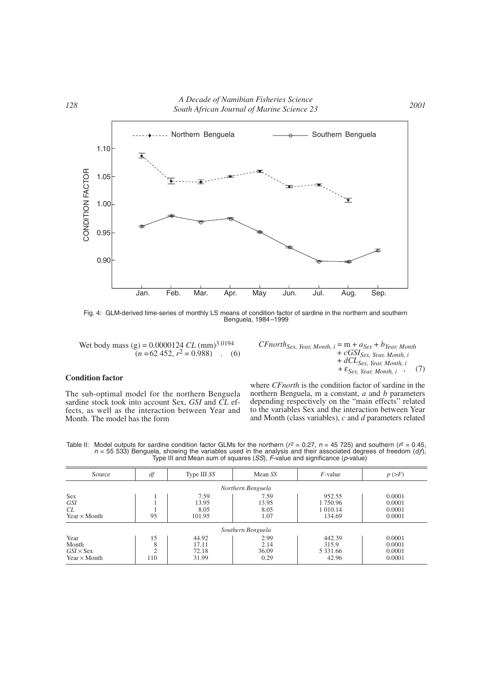

Fig. 4: GLM-derived time-series of monthly LS means of condition factor of sardine in the northern and southern Benguela, 1984–1999

Wet body mass (g) = 0.0000124 *CL* (mm)3.0194  $(n = 62 \, 452, r^2 = 0.988)$  (6)

# **Condition factor**

The sub-optimal model for the northern Benguela sardine stock took into account Sex, *GSI* and *CL* effects, as well as the interaction between Year and Month. The model has the form

 $CFnorth_{Sex, Year, Month, i} = m + a_{Sex} + b_{Year, Month}$ + *cGSISex, Year, Month, i* + *dCLSex, Year, Month, i* +  $\varepsilon_{Sex, Year, Month, i}$  (7)

where *CFnorth* is the condition factor of sardine in the northern Benguela, m a constant, *a* and *b* parameters depending respectively on the "main effects" related to the variables Sex and the interaction between Year and Month (class variables), *c* and *d* parameters related

Table II: Model outputs for sardine condition factor GLMs for the northern ( $r^2 = 0.27$ ,  $n = 45$  725) and southern ( $r^2 = 0.45$ ,  $n = 55$  533) Benguela, showing the variables used in the analysis and their associated degrees of freedom (*df*), The III and Mean sum of squares (*SS*), F-value and significance (*p*-value)

| Source                                                   | df                          | Type III SS                      | Mean SS                       | $F$ -value                                    | $p \left( \gt{F} \right)$            |  |  |  |  |  |
|----------------------------------------------------------|-----------------------------|----------------------------------|-------------------------------|-----------------------------------------------|--------------------------------------|--|--|--|--|--|
| Northern Benguela                                        |                             |                                  |                               |                                               |                                      |  |  |  |  |  |
| <b>Sex</b><br><b>GSI</b><br>CL<br>Year $\times$ Month    | 95                          | 7.59<br>13.95<br>8.05<br>101.95  | 7.59<br>13.95<br>8.05<br>1.07 | 952.55<br>1 750.96<br>1 0 1 0 . 1 4<br>134.69 | 0.0001<br>0.0001<br>0.0001<br>0.0001 |  |  |  |  |  |
| Southern Benguela                                        |                             |                                  |                               |                                               |                                      |  |  |  |  |  |
| Year<br>Month<br>$GSI \times$ Sex<br>Year $\times$ Month | 15<br>8<br>$\bigcap$<br>110 | 44.92<br>17.11<br>72.18<br>31.99 | 2.99<br>2.14<br>36.09<br>0.29 | 442.39<br>315.9<br>5 3 3 1 .6 6<br>42.96      | 0.0001<br>0.0001<br>0.0001<br>0.0001 |  |  |  |  |  |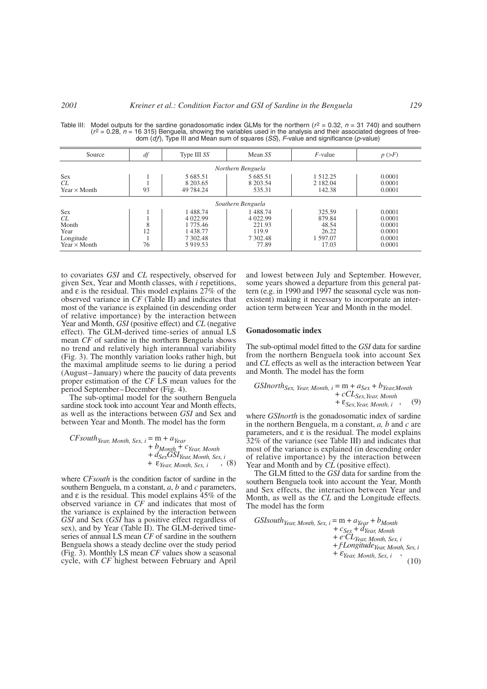| Source                                                                | df            | Type III SS                                                           | Mean SS                                                       | $F$ -value                                              | $p \left( \gt{F} \right)$                                |  |  |  |  |  |
|-----------------------------------------------------------------------|---------------|-----------------------------------------------------------------------|---------------------------------------------------------------|---------------------------------------------------------|----------------------------------------------------------|--|--|--|--|--|
| Northern Benguela                                                     |               |                                                                       |                                                               |                                                         |                                                          |  |  |  |  |  |
| <b>Sex</b><br>CL<br>Year $\times$ Month                               | 93            | 5 685.51<br>8 203.65<br>49 784.24                                     | 5 685.51<br>8 203.54<br>535.31                                | 1 5 1 2 . 2 5<br>2 182.04<br>142.38                     | 0.0001<br>0.0001<br>0.0001                               |  |  |  |  |  |
| Southern Benguela                                                     |               |                                                                       |                                                               |                                                         |                                                          |  |  |  |  |  |
| <b>Sex</b><br>CL<br>Month<br>Year<br>Longitude<br>Year $\times$ Month | 8<br>12<br>76 | 1488.74<br>4 0 2 2.99<br>1 775.46<br>1438.77<br>7 302.48<br>5 9 19.53 | 1488.74<br>4 0 2 2.99<br>221.93<br>119.9<br>7 302.48<br>77.89 | 325.59<br>879.84<br>48.54<br>26.22<br>1 597.07<br>17.03 | 0.0001<br>0.0001<br>0.0001<br>0.0001<br>0.0001<br>0.0001 |  |  |  |  |  |

Table III: Model outputs for the sardine gonadosomatic index GLMs for the northern ( $r^2 = 0.32$ ,  $n = 31740$ ) and southern ( $r^2 = 0.28$ ,  $n = 16315$ ) Benguela, showing the variables used in the analysis and their associated dom (df), Type III and Mean sum of squares (SS), F-value and significance (p-value)

to covariates *GSI* and *CL* respectively, observed for given Sex, Year and Month classes, with *i* repetitions, and  $\varepsilon$  is the residual. This model explains  $27\%$  of the observed variance in *CF* (Table II) and indicates that most of the variance is explained (in descending order of relative importance) by the interaction between Year and Month, *GSI* (positive effect) and *CL* (negative effect). The GLM-derived time-series of annual LS mean *CF* of sardine in the northern Benguela shows no trend and relatively high interannual variability (Fig. 3). The monthly variation looks rather high, but the maximal amplitude seems to lie during a period (August–January) where the paucity of data prevents proper estimation of the *CF* LS mean values for the period September–December (Fig. 4).

The sub-optimal model for the southern Benguela sardine stock took into account Year and Month effects, as well as the interactions between *GSI* and Sex and between Year and Month. The model has the form

$$
CFSouthYear, Month, Sex, i = m + aYear+ bMonth + cYear, Month+ dSexGSIYear, Month, Sex, i+ \varepsilonYear, Month, Sex, i , (8)
$$

where *CFsouth* is the condition factor of sardine in the southern Benguela, m a constant, *a*, *b* and *c* parameters, and  $\varepsilon$  is the residual. This model explains  $45\%$  of the observed variance in *CF* and indicates that most of the variance is explained by the interaction between *GSI* and Sex (*GSI* has a positive effect regardless of sex), and by Year (Table II). The GLM-derived timeseries of annual LS mean *CF* of sardine in the southern Benguela shows a steady decline over the study period (Fig. 3). Monthly LS mean *CF* values show a seasonal cycle, with *CF* highest between February and April

and lowest between July and September. However, some years showed a departure from this general pattern (e.g. in 1990 and 1997 the seasonal cycle was nonexistent) making it necessary to incorporate an interaction term between Year and Month in the model.

### **Gonadosomatic index**

The sub-optimal model fitted to the *GSI* data for sardine from the northern Benguela took into account Sex and *CL* effects as well as the interaction between Year and Month. The model has the form

$$
GSI north_{Sex, Year, Month, i} = m + a_{Sex} + b_{Year,Month} + cCL_{Sex, Year, Month} + \varepsilon_{Sex, Year, Month, i} , (9)
$$

where *GSInorth* is the gonadosomatic index of sardine in the northern Benguela, m a constant, *a, b* and *c* are parameters, and  $\varepsilon$  is the residual. The model explains 32% of the variance (see Table III) and indicates that most of the variance is explained (in descending order of relative importance) by the interaction between Year and Month and by *CL* (positive effect).

The GLM fitted to the *GSI* data for sardine from the southern Benguela took into account the Year, Month and Sex effects, the interaction between Year and Month, as well as the *CL* and the Longitude effects. The model has the form

GSIsouth year, Month, Sex, 
$$
i = m + a_{Year} + b_{Month}
$$

\n $+ c_{Sex} + d_{Year}$ , Month

\n $+ e^cCL_{Year}$ , Month, Sex,  $i + fLongitude_{Year}$ , Month, Sex,  $i + \epsilon_{Year}$ , Month, Sex,  $i$ 

\n $+ \epsilon_{Year}$ , Month, Sex,  $i$ 

\n $(10)$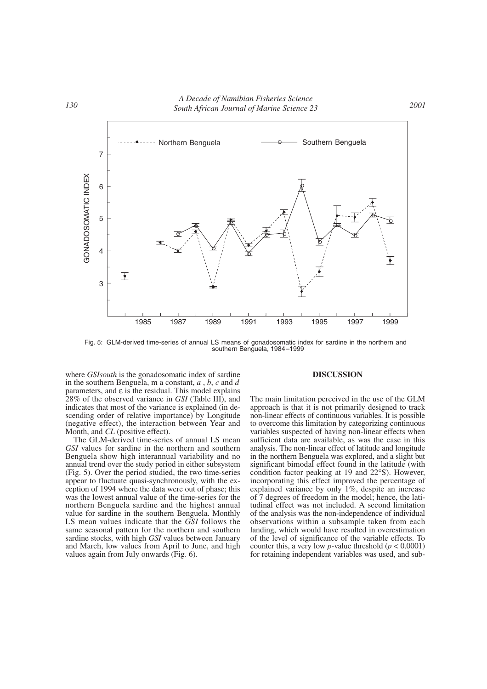

Fig. 5: GLM-derived time-series of annual LS means of gonadosomatic index for sardine in the northern and southern Benguela, 1984–1999

where *GSIsouth* is the gonadosomatic index of sardine in the southern Benguela, m a constant, *a* , *b*, *c* and *d* parameters, and  $\varepsilon$  is the residual. This model explains 28% of the observed variance in *GSI* (Table III), and indicates that most of the variance is explained (in descending order of relative importance) by Longitude (negative effect), the interaction between Year and Month, and *CL* (positive effect).

The GLM-derived time-series of annual LS mean *GSI* values for sardine in the northern and southern Benguela show high interannual variability and no annual trend over the study period in either subsystem (Fig. 5). Over the period studied, the two time-series appear to fluctuate quasi-synchronously, with the exception of 1994 where the data were out of phase; this was the lowest annual value of the time-series for the northern Benguela sardine and the highest annual value for sardine in the southern Benguela. Monthly LS mean values indicate that the *GSI* follows the same seasonal pattern for the northern and southern sardine stocks, with high *GSI* values between January and March, low values from April to June, and high values again from July onwards (Fig. 6).

#### **DISCUSSION**

The main limitation perceived in the use of the GLM approach is that it is not primarily designed to track non-linear effects of continuous variables. It is possible to overcome this limitation by categorizing continuous variables suspected of having non-linear effects when sufficient data are available, as was the case in this analysis. The non-linear effect of latitude and longitude in the northern Benguela was explored, and a slight but significant bimodal effect found in the latitude (with condition factor peaking at 19 and 22°S). However, incorporating this effect improved the percentage of explained variance by only 1%, despite an increase of 7 degrees of freedom in the model; hence, the latitudinal effect was not included. A second limitation of the analysis was the non-independence of individual observations within a subsample taken from each landing, which would have resulted in overestimation of the level of significance of the variable effects. To counter this, a very low *p*-value threshold  $(p < 0.0001)$ for retaining independent variables was used, and sub-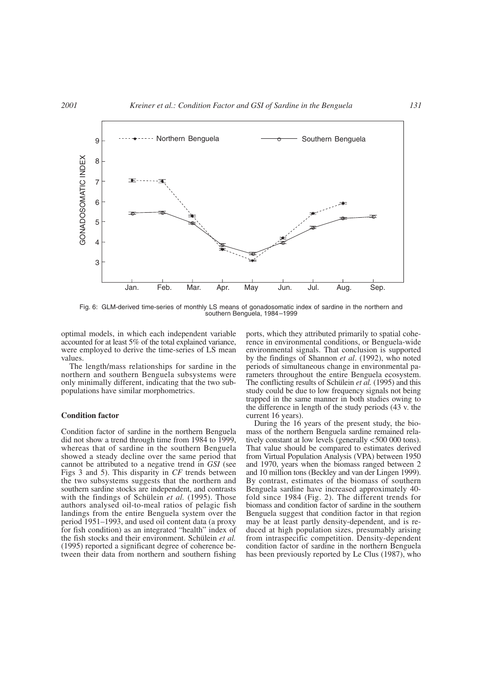

Fig. 6: GLM-derived time-series of monthly LS means of gonadosomatic index of sardine in the northern and southern Benguela, 1984–1999

optimal models, in which each independent variable accounted for at least 5% of the total explained variance, were employed to derive the time-series of LS mean values.

The length/mass relationships for sardine in the northern and southern Benguela subsystems were only minimally different, indicating that the two subpopulations have similar morphometrics.

### **Condition factor**

Condition factor of sardine in the northern Benguela did not show a trend through time from 1984 to 1999, whereas that of sardine in the southern Benguela showed a steady decline over the same period that cannot be attributed to a negative trend in *GSI* (see Figs 3 and 5). This disparity in *CF* trends between the two subsystems suggests that the northern and southern sardine stocks are independent, and contrasts with the findings of Schülein *et al.* (1995). Those authors analysed oil-to-meal ratios of pelagic fish landings from the entire Benguela system over the period 1951–1993, and used oil content data (a proxy for fish condition) as an integrated "health" index of the fish stocks and their environment. Schülein *et al.* (1995) reported a significant degree of coherence between their data from northern and southern fishing ports, which they attributed primarily to spatial coherence in environmental conditions, or Benguela-wide environmental signals. That conclusion is supported by the findings of Shannon *et al*. (1992), who noted periods of simultaneous change in environmental parameters throughout the entire Benguela ecosystem. The conflicting results of Schülein *et al.* (1995) and this study could be due to low frequency signals not being trapped in the same manner in both studies owing to the difference in length of the study periods (43 v. the current 16 years).

During the 16 years of the present study, the biomass of the northern Benguela sardine remained relatively constant at low levels (generally <500 000 tons). That value should be compared to estimates derived from Virtual Population Analysis (VPA) between 1950 and 1970, years when the biomass ranged between 2 and 10 million tons (Beckley and van der Lingen 1999). By contrast, estimates of the biomass of southern Benguela sardine have increased approximately 40 fold since 1984 (Fig. 2). The different trends for biomass and condition factor of sardine in the southern Benguela suggest that condition factor in that region may be at least partly density-dependent, and is reduced at high population sizes, presumably arising from intraspecific competition. Density-dependent condition factor of sardine in the northern Benguela has been previously reported by Le Clus (1987), who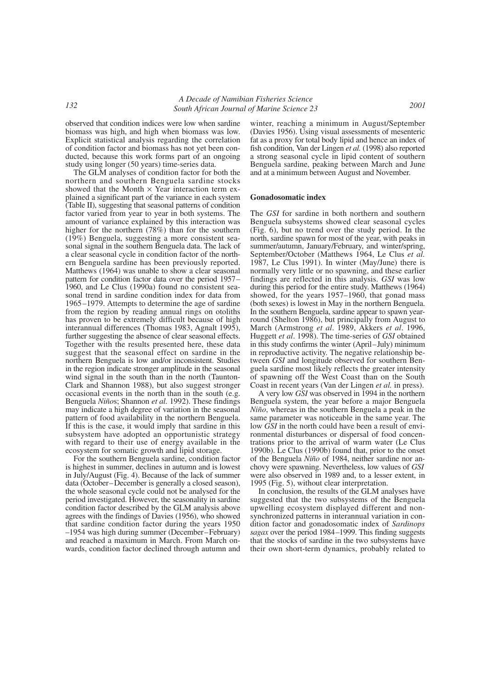observed that condition indices were low when sardine biomass was high, and high when biomass was low. Explicit statistical analysis regarding the correlation of condition factor and biomass has not yet been conducted, because this work forms part of an ongoing study using longer (50 years) time-series data.

The GLM analyses of condition factor for both the northern and southern Benguela sardine stocks showed that the Month  $\times$  Year interaction term explained a significant part of the variance in each system (Table II), suggesting that seasonal patterns of condition factor varied from year to year in both systems. The amount of variance explained by this interaction was higher for the northern (78%) than for the southern (19%) Benguela, suggesting a more consistent seasonal signal in the southern Benguela data. The lack of a clear seasonal cycle in condition factor of the northern Benguela sardine has been previously reported. Matthews (1964) was unable to show a clear seasonal pattern for condition factor data over the period 1957– 1960, and Le Clus (1990a) found no consistent seasonal trend in sardine condition index for data from 1965–1979. Attempts to determine the age of sardine from the region by reading annual rings on otoliths has proven to be extremely difficult because of high interannual differences (Thomas 1983, Agnalt 1995), further suggesting the absence of clear seasonal effects. Together with the results presented here, these data suggest that the seasonal effect on sardine in the northern Benguela is low and/or inconsistent. Studies in the region indicate stronger amplitude in the seasonal wind signal in the south than in the north (Taunton-Clark and Shannon 1988), but also suggest stronger occasional events in the north than in the south (e.g. Benguela *Niño*s; Shannon *et al.* 1992). These findings may indicate a high degree of variation in the seasonal pattern of food availability in the northern Benguela. If this is the case, it would imply that sardine in this subsystem have adopted an opportunistic strategy with regard to their use of energy available in the ecosystem for somatic growth and lipid storage.

For the southern Benguela sardine, condition factor is highest in summer, declines in autumn and is lowest in July/August (Fig. 4). Because of the lack of summer data (October–December is generally a closed season), the whole seasonal cycle could not be analysed for the period investigated. However, the seasonality in sardine condition factor described by the GLM analysis above agrees with the findings of Davies (1956), who showed that sardine condition factor during the years 1950 –1954 was high during summer (December–February) and reached a maximum in March. From March onwards, condition factor declined through autumn and winter, reaching a minimum in August/September (Davies 1956). Using visual assessments of mesenteric fat as a proxy for total body lipid and hence an index of fish condition, Van der Lingen *et al.* (1998) also reported a strong seasonal cycle in lipid content of southern Benguela sardine, peaking between March and June and at a minimum between August and November.

### **Gonadosomatic index**

The *GSI* for sardine in both northern and southern Benguela subsystems showed clear seasonal cycles (Fig. 6), but no trend over the study period. In the north, sardine spawn for most of the year, with peaks in summer/autumn, January/February, and winter/spring, September/October (Matthews 1964, Le Clus *et al.* 1987, Le Clus 1991). In winter (May/June) there is normally very little or no spawning, and these earlier findings are reflected in this analysis. *GSI* was low during this period for the entire study. Matthews (1964) showed, for the years 1957–1960, that gonad mass (both sexes) is lowest in May in the northern Benguela. In the southern Benguela, sardine appear to spawn yearround (Shelton 1986), but principally from August to March (Armstrong *et al*. 1989, Akkers *et al*. 1996, Huggett *et al*. 1998). The time-series of *GSI* obtained in this study confirms the winter (April–July) minimum in reproductive activity. The negative relationship between *GSI* and longitude observed for southern Benguela sardine most likely reflects the greater intensity of spawning off the West Coast than on the South Coast in recent years (Van der Lingen *et al.* in press).

A very low *GSI* was observed in 1994 in the northern Benguela system, the year before a major Benguela *Niño*, whereas in the southern Benguela a peak in the same parameter was noticeable in the same year. The low *GSI* in the north could have been a result of environmental disturbances or dispersal of food concentrations prior to the arrival of warm water (Le Clus 1990b). Le Clus (1990b) found that, prior to the onset of the Benguela *Niño* of 1984, neither sardine nor anchovy were spawning. Nevertheless, low values of *GSI* were also observed in 1989 and, to a lesser extent, in 1995 (Fig. 5), without clear interpretation.

In conclusion, the results of the GLM analyses have suggested that the two subsystems of the Benguela upwelling ecosystem displayed different and nonsynchronized patterns in interannual variation in condition factor and gonadosomatic index of *Sardinops sagax* over the period 1984–1999. This finding suggests that the stocks of sardine in the two subsystems have their own short-term dynamics, probably related to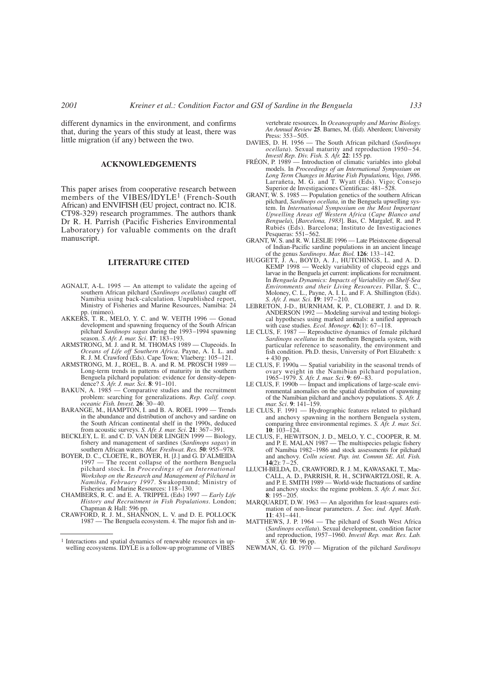different dynamics in the environment, and confirms that, during the years of this study at least, there was little migration (if any) between the two.

## **ACKNOWLEDGEMENTS**

This paper arises from cooperative research between members of the VIBES/IDYLE<sup>1</sup> (French-South African) and ENVIFISH (EU project, contract no. IC18. CT98-329) research programmes. The authors thank Dr R. H. Parrish (Pacific Fisheries Environmental Laboratory) for valuable comments on the draft manuscript.

### **LITERATURE CITED**

- AGNALT, A-L. 1995 An attempt to validate the ageing of southern African pilchard (*Sardinops ocellatus*) caught off Namibia using back-calculation. Unpublished report, Ministry of Fisheries and Marine Resources, Namibia: 24 pp. (mimeo).
- AKKERS, T. R., MELO, Y. C. and W. VEITH 1996 Gonad development and spawning frequency of the South African pilchard *Sardinops sagax* during the 1993–1994 spawning season. *S. Afr. J. mar. Sci*. **17**: 183–193.
- ARMSTRONG, M. J. and R. M. THOMAS 1989 Clupeoids. In *Oceans of Life off Southern Africa*. Payne, A. I. L. and R. J. M. Crawford (Eds). Cape Town; Vlaeberg: 105–121.
- ARMSTRONG, M. J., ROEL, B. A. and R. M. PROSCH 1989 -Long-term trends in patterns of maturity in the southern Benguela pilchard population: evidence for density-depen-<br>dence? *S. Afr. J. mar. Sci.* **8**: 91–101.<br>BAKUN, A. 1985 — Comparative studies and the recruitment
- problem: searching for generalizations. *Rep. Calif. coop. oceanic Fish. Invest.* **26**: 30–40.
- BARANGE, M., HAMPTON, I. and B. A. ROEL 1999 Trends in the abundance and distribution of anchovy and sardine on the South African continental shelf in the 1990s, deduced from acoustic surveys. *S. Afr. J. mar. Sci*. **21**: 367–391.
- BECKLEY, L. E. and C. D. VAN DER LINGEN 1999 Biology, fishery and management of sardines (*Sardinops sagax*) in southern African waters. *Mar. Freshwat. Res.* **50**: 955–978.
- BOYER, D. C., CLOETE, R., BOYER, H. [J.] and G. D'ALMEIDA 1997 The recent collapse of the northern Benguela pilchard stock. In *Proceedings of an International Workshop on the Research and Management of Pilchard in Namibia, February 1997*. Swakopmund; Ministry of Fisheries and Marine Resources: 118–130.
- CHAMBERS, R. C. and E. A. TRIPPEL (Eds) 1997  *Early Life History and Recruitment in Fish Populations*. London; Chapman & Hall: 596 pp. CRAWFORD, R. J. M., SHANNON, L. V. and D. E. POLLOCK
- 1987 The Benguela ecosystem. 4. The major fish and in-

vertebrate resources. In *Oceanography and Marine Biology. An Annual Review* **25**. Barnes, M. (Ed). Aberdeen; University Press: 353–505.

- DAVIES, D. H. 1956 The South African pilchard (*Sardinops ocellata*). Sexual maturity and reproduction 1950–54.<br>*Investl Rep. Div. Fish. S. Afr.* 22: 155 pp.
- *Investment PRÉON, P. 1989* Introduction of climatic variables into global models. In *Proceedings of an International Symposium on Long Term Changes in Marine Fish Populations, Vigo, 1986*. Larrañeta, M. G. and T. Wyatt (Eds). Vigo; Consejo Superior de Investigaciones Cientificas: 481–528.
- GRANT, W. S. 1985 Population genetics of the southern African pilchard, *Sardinops ocellata,* in the Benguela upwelling system. In *International Symposium on the Most Important Upwelling Areas off Western Africa* (*Cape Blanco and Benguela*), [*Barcelona, 1983*]. Bas, C. Margalef, R. and P. Rubiés (Eds). Barcelona; Instituto de Investigaciones Pesqueras: 551–562.
- GRANT, W. S. and R. W. LESLIE 1996 Late Pleistocene dispersal of Indian-Pacific sardine populations in an ancient lineage
- of the genus *Sardinops*. *Mar. Biol.* **126**: 133–142. HUGGETT, J. A., BOYD, A. J., HUTCHINGS, L. and A. D. KEMP 1998 Weekly variability of clupeoid eggs and larvae in the Benguela jet current: implications for recruitment. In *Benguela Dynamics: Impacts of Variability on Shelf-Sea Environments and their Living Resources*. Pillar, S. C., Moloney, C. L., Payne, A. I. L. and F. A. Shillington (Eds). *S. Afr. J. mar. Sci*. **19**: 197–210. LEBRETON, J-D., BURNHAM, K. P., CLOBERT, J. and D. R.
- ANDERSON 1992 Modeling survival and testing biological hypotheses using marked animals: a unified approach with case studies. *Ecol. Monogr*. **62**(1): 67–118.
- LE CLUS, F. 1987 Reproductive dynamics of female pilchard *Sardinops ocellatus* in the northern Benguela system, with particular reference to seasonality, the environment and fish condition. Ph.D. thesis, University of Port Elizabeth: x
- + 430 pp. LE CLUS, F. 1990a Spatial variability in the seasonal trends of ovary weight in the Namibian pilchard population,
- 1965–1979. *S. Afr. J. mar. Sci*. **9**: 69–83. LE CLUS, F. 1990b Impact and implications of large-scale environmental anomalies on the spatial distribution of spawning of the Namibian pilchard and anchovy populations. *S. Afr. J. mar. Sci*. **9**: 141–159.
- LE CLUS, F. 1991 Hydrographic features related to pilchard and anchovy spawning in the northern Benguela system, comparing three environmental regimes. *S. Afr. J. mar. Sci*. **<sup>10</sup>**: 103–124.
- LE CLUS, F., HEWITSON, J. D., MELO, Y. C., COOPER, R. M. and P. E. MALAN 1987 The multispecies pelagic fishery off Namibia 1982–1986 and stock assessments for pilchard and anchovy. *Colln scient. Pap. int. Commn SE. Atl. Fish.* **14** $(2)$ :  $7 - 25$
- LLUCH-BELDA, D., CRAWFORD, R. J. M., KAWASAKI, T., Mac-CALL, A. D., PARRISH, R. H., SCHWARTZLOSE, R. A. and P. E. SMITH 1989 World-wide fluctuations of sardine and anchovy stocks: the regime problem. *S. Afr. J. mar. Sci*. **<sup>8</sup>**: 195–205.
- MARQUARDT, D.W. 1963 An algorithm for least-squares estimation of non-linear parameters. *J. Soc. ind. Appl. Math*. **11**: 431–441.
- MATTHEWS, J. P. 1964 The pilchard of South West Africa (*Sardinops ocellata*). Sexual development, condition factor and reproduction, 1957–1960. *Investl Rep. mar. Res. Lab. S.W. Afr.* **10**: 96 pp.
- NEWMAN, G. G. 1970 Migration of the pilchard *Sardinops*

<sup>1</sup> Interactions and spatial dynamics of renewable resources in upwelling ecosystems. IDYLE is a follow-up programme of VIBES